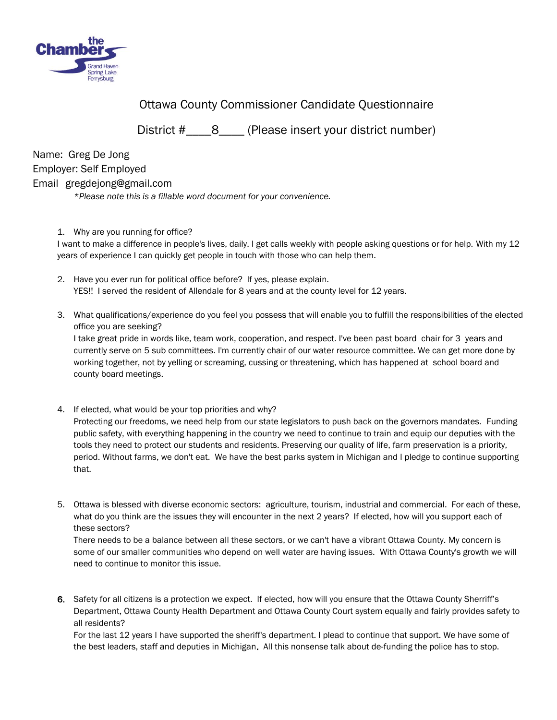

Ottawa County Commissioner Candidate Questionnaire

District #\_\_\_\_8\_\_\_\_ (Please insert your district number)

Name: Greg De Jong Employer: Self Employed Email gregdejong@gmail.com *\*Please note this is a fillable word document for your convenience.* 

1. Why are you running for office?

I want to make a difference in people's lives, daily. I get calls weekly with people asking questions or for help. With my 12 years of experience I can quickly get people in touch with those who can help them.

- 2. Have you ever run for political office before? If yes, please explain. YES!! I served the resident of Allendale for 8 years and at the county level for 12 years.
- 3. What qualifications/experience do you feel you possess that will enable you to fulfill the responsibilities of the elected office you are seeking?

I take great pride in words like, team work, cooperation, and respect. I've been past board chair for 3 years and currently serve on 5 sub committees. I'm currently chair of our water resource committee. We can get more done by working together, not by yelling or screaming, cussing or threatening, which has happened at school board and county board meetings.

- 4. If elected, what would be your top priorities and why? Protecting our freedoms, we need help from our state legislators to push back on the governors mandates. Funding public safety, with everything happening in the country we need to continue to train and equip our deputies with the tools they need to protect our students and residents. Preserving our quality of life, farm preservation is a priority, period. Without farms, we don't eat. We have the best parks system in Michigan and I pledge to continue supporting that.
- 5. Ottawa is blessed with diverse economic sectors: agriculture, tourism, industrial and commercial. For each of these, what do you think are the issues they will encounter in the next 2 years? If elected, how will you support each of these sectors?

There needs to be a balance between all these sectors, or we can't have a vibrant Ottawa County. My concern is some of our smaller communities who depend on well water are having issues. With Ottawa County's growth we will need to continue to monitor this issue.

6. Safety for all citizens is a protection we expect. If elected, how will you ensure that the Ottawa County Sherriff's Department, Ottawa County Health Department and Ottawa County Court system equally and fairly provides safety to all residents?

For the last 12 years I have supported the sheriff's department. I plead to continue that support. We have some of the best leaders, staff and deputies in Michigan. All this nonsense talk about de-funding the police has to stop.